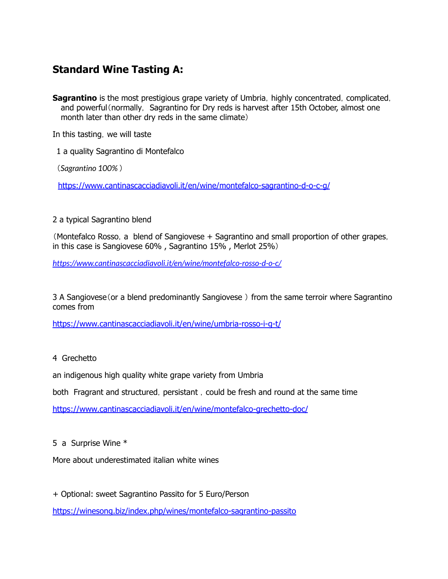## **Standard Wine Tasting A:**

**Sagrantino** is the most prestigious grape variety of Umbria, highly concentrated, complicated, and powerful (normally, Sagrantino for Dry reds is harvest after 15th October, almost one month later than other dry reds in the same climate)

In this tasting, we will taste

1 a quality Sagrantino di Montefalco

(*Sagrantino 100%* )

<https://www.cantinascacciadiavoli.it/en/wine/montefalco-sagrantino-d-o-c-g/>

#### 2 a typical Sagrantino blend

(Montefalco Rosso, a blend of Sangiovese + Sagrantino and small proportion of other grapes, in this case is Sangiovese 60% , Sagrantino 15% , Merlot 25%)

*<https://www.cantinascacciadiavoli.it/en/wine/montefalco-rosso-d-o-c/>*

3 A Sangiovese(or a blend predominantly Sangiovese ) from the same terroir where Sagrantino comes from

<https://www.cantinascacciadiavoli.it/en/wine/umbria-rosso-i-g-t/>

#### 4 Grechetto

an indigenous high quality white grape variety from Umbria

both Fragrant and structured, persistant, could be fresh and round at the same time

<https://www.cantinascacciadiavoli.it/en/wine/montefalco-grechetto-doc/>

#### 5 a Surprise Wine \*

More about underestimated italian white wines

+ Optional: sweet Sagrantino Passito for 5 Euro/Person

<https://winesong.biz/index.php/wines/montefalco-sagrantino-passito>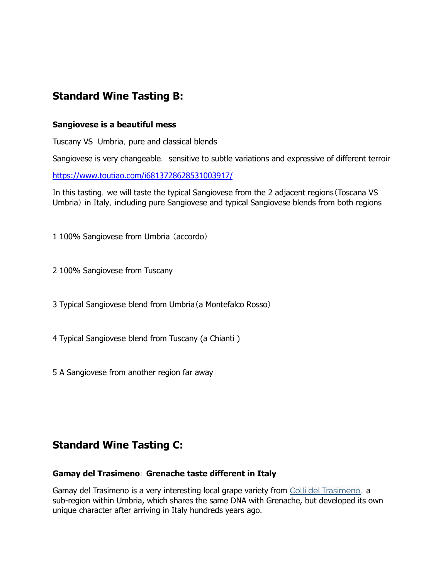## **Standard Wine Tasting B:**

#### **Sangiovese is a beautiful mess**

Tuscany VS Umbria, pure and classical blends

Sangiovese is very changeable, sensitive to subtle variations and expressive of different terroir

<https://www.toutiao.com/i6813728628531003917/>

In this tasting, we will taste the typical Sangiovese from the 2 adjacent regions (Toscana VS Umbria) in Italy, including pure Sangiovese and typical Sangiovese blends from both regions

1 100% Sangiovese from Umbria (accordo)

- 2 100% Sangiovese from Tuscany
- 3 Typical Sangiovese blend from Umbria(a Montefalco Rosso)
- 4 Typical Sangiovese blend from Tuscany (a Chianti )
- 5 A Sangiovese from another region far away

### **Standard Wine Tasting C:**

#### **Gamay del Trasimeno**: **Grenache taste different in Italy**

Gamay del [Trasimeno](https://winesong.biz/taxonomy/term/1762) is a very interesting local grape variety from Colli del Trasimeno, a sub-region within Umbria, which shares the same DNA with Grenache, but developed its own unique character after arriving in Italy hundreds years ago.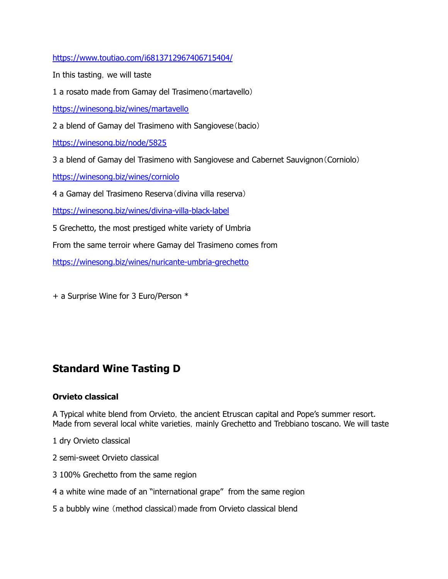<https://www.toutiao.com/i6813712967406715404/>

In this tasting, we will taste

1 a rosato made from Gamay del Trasimeno(martavello)

<https://winesong.biz/wines/martavello>

2 a blend of Gamay del Trasimeno with Sangiovese(bacio)

<https://winesong.biz/node/5825>

3 a blend of Gamay del Trasimeno with Sangiovese and Cabernet Sauvignon(Corniolo)

<https://winesong.biz/wines/corniolo>

4 a Gamay del Trasimeno Reserva(divina villa reserva)

<https://winesong.biz/wines/divina-villa-black-label>

5 Grechetto, the most prestiged white variety of Umbria

From the same terroir where Gamay del Trasimeno comes from

<https://winesong.biz/wines/nuricante-umbria-grechetto>

+ a Surprise Wine for 3 Euro/Person \*

### **Standard Wine Tasting D**

#### **Orvieto classical**

A Typical white blend from Orvieto, the ancient Etruscan capital and Pope's summer resort. Made from several local white varieties, mainly Grechetto and Trebbiano toscano. We will taste

- 1 dry Orvieto classical
- 2 semi-sweet Orvieto classical
- 3 100% Grechetto from the same region
- 4 a white wine made of an "international grape" from the same region
- 5 a bubbly wine (method classical)made from Orvieto classical blend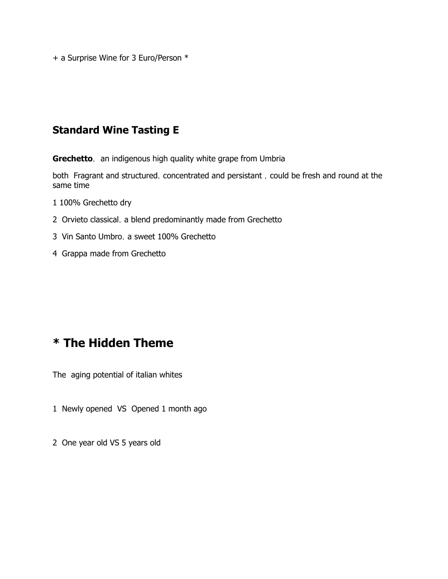+ a Surprise Wine for 3 Euro/Person \*

### **Standard Wine Tasting E**

**Grechetto**, an indigenous high quality white grape from Umbria

both Fragrant and structured, concentrated and persistant, could be fresh and round at the same time

- 1 100% Grechetto dry
- 2 Orvieto classical, a blend predominantly made from Grechetto
- 3 Vin Santo Umbro, a sweet 100% Grechetto
- 4 Grappa made from Grechetto

## **\* The Hidden Theme**

The aging potential of italian whites

- 1 Newly opened VS Opened 1 month ago
- 2 One year old VS 5 years old